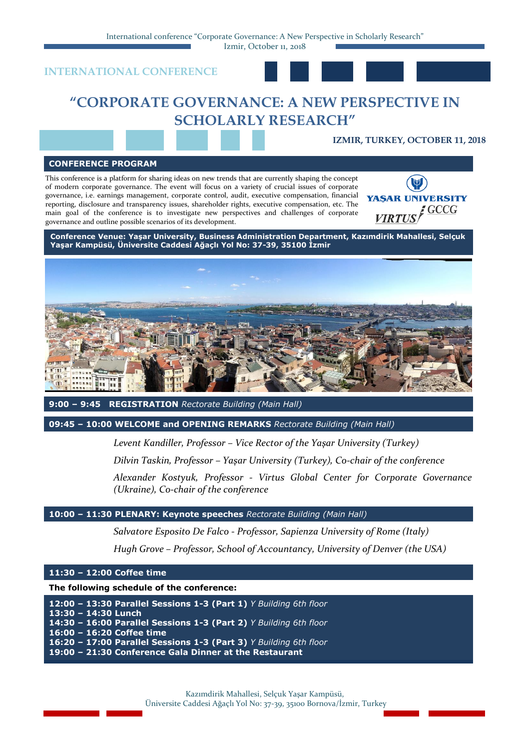International conference "Corporate Governance: A New Perspective in Scholarly Research"

Izmir, October 11, 2018





# **"CORPORATE GOVERNANCE: A NEW PERSPECTIVE IN SCHOLARLY RESEARCH"**

# **IZMIR, TURKEY, OCTOBER 11, 2018**

#### **CONFERENCE PROGRAM**

This conference is a platform for sharing ideas on new trends that are currently shaping the concept of modern corporate governance. The event will focus on a variety of crucial issues of corporate governance, i.e. earnings management, corporate control, audit, executive compensation, financial reporting, disclosure and transparency issues, shareholder rights, executive compensation, etc. The main goal of the conference is to investigate new perspectives and challenges of corporate governance and outline possible scenarios of its development.



**Conference Venue: Yaşar University, Business Administration Department, Kazımdirik Mahallesi, Selçuk Yaşar Kampüsü, Üniversite Caddesi Ağaçlı Yol No: 37-39, 35100 İzmir**



**9:00 – 9:45 REGISTRATION** *Rectorate Building (Main Hall)*

**09:45 – 10:00 WELCOME and OPENING REMARKS** *Rectorate Building (Main Hall)*

*Levent Kandiller, Professor – Vice Rector of the Yaşar University (Turkey)*

*Dilvin Taskin, Professor – Yaşar University (Turkey), Co-chair of the conference*

*Alexander Kostyuk, Professor - Virtus Global Center for Corporate Governance (Ukraine), Co-chair of the conference*

# **10:00 – 11:30 PLENARY: Keynote speeches** *Rectorate Building (Main Hall)*

*Salvatore Esposito De Falco - Professor, Sapienza University of Rome (Italy)*

*Hugh Grove – Professor, School of Accountancy, University of Denver (the USA)*

### **11:30 – 12:00 Coffee time**

**The following schedule of the conference:**

**12:00 – 13:30 Parallel Sessions 1-3 (Part 1)** *Y Building 6th floor* **13:30 – 14:30 Lunch 14:30 – 16:00 Parallel Sessions 1-3 (Part 2)** *Y Building 6th floor* **16:00 – 16:20 Coffee time 16:20 – 17:00 Parallel Sessions 1-3 (Part 3)** *Y Building 6th floor* **19:00 – 21:30 Conference Gala Dinner at the Restaurant**

> Kazımdirik Mahallesi, Selçuk Yaşar Kampüsü, Üniversite Caddesi Ağaçlı Yol No: 37-39, 35100 Bornova/İzmir, Turkey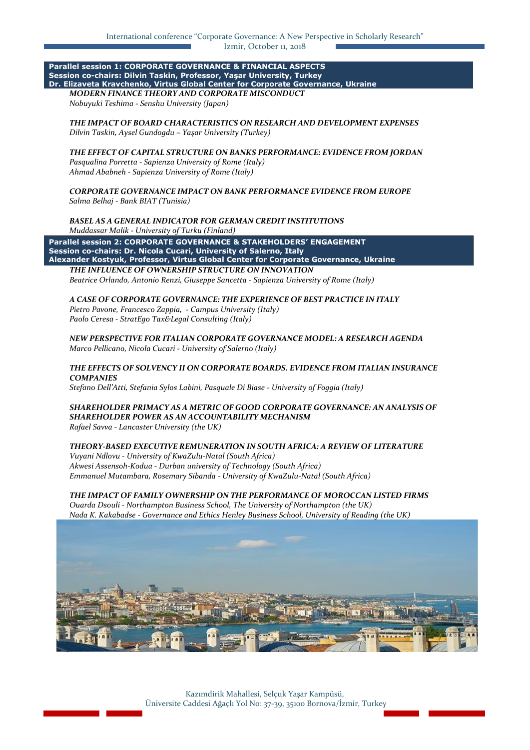#### **Parallel session 1: CORPORATE GOVERNANCE & FINANCIAL ASPECTS Session co-chairs: Dilvin Taskin, Professor, Yaşar University, Turkey [Dr. Elizaveta Kravchenko,](https://www.linkedin.com/in/elizaveta-kravchenko-62372a9a/) Virtus Global Center for Corporate Governance, Ukraine** *MODERN FINANCE THEORY AND CORPORATE MISCONDUCT*

*Nobuyuki Teshima - Senshu University (Japan)*

#### *THE IMPACT OF BOARD CHARACTERISTICS ON RESEARCH AND DEVELOPMENT EXPENSES Dilvin Taskin, Aysel Gundogdu – Yaşar University (Turkey)*

## *THE EFFECT OF CAPITAL STRUCTURE ON BANKS PERFORMANCE: EVIDENCE FROM JORDAN*

*Pasqualina Porretta - Sapienza University of Rome (Italy) Ahmad Ababneh - Sapienza University of Rome (Italy)*

#### *CORPORATE GOVERNANCE IMPACT ON BANK PERFORMANCE EVIDENCE FROM EUROPE Salma Belhaj - Вank BIAT (Tunisia)*

*BASEL AS A GENERAL INDICATOR FOR GERMAN CREDIT INSTITUTIONS Muddassar Malik - University of Turku (Finland)*

**Parallel session 2: CORPORATE GOVERNANCE & STAKEHOLDERS' ENGAGEMENT Session co-chairs: Dr. Nicola Cucari, University of Salerno, Italy Alexander Kostyuk, Professor, Virtus Global Center for Corporate Governance, Ukraine** *THE INFLUENCE OF OWNERSHIP STRUCTURE ON INNOVATION*

*Beatrice Orlando, Antonio Renzi, Giuseppe Sancetta - Sapienza University of Rome (Italy)*

#### *A CASE OF CORPORATE GOVERNANCE: THE EXPERIENCE OF BEST PRACTICE IN ITALY*

*Pietro Pavone, Francesco Zappia, - Campus University (Italy) Paolo Ceresa - StratEgo Tax&Legal Consulting (Italy)*

*NEW PERSPECTIVE FOR ITALIAN CORPORATE GOVERNANCE MODEL: A RESEARCH AGENDA Marco Pellicano, Nicola Cucari - University of Salerno (Italy)*

### *THE EFFECTS OF SOLVENCY II ON CORPORATE BOARDS. EVIDENCE FROM ITALIAN INSURANCE COMPANIES*

*Stefano Dell'Atti, Stefania Sylos Labini, Pasquale Di Biase - University of Foggia (Italy)*

# *SHAREHOLDER PRIMACY AS A METRIC OF GOOD CORPORATE GOVERNANCE: AN ANALYSIS OF SHAREHOLDER POWER AS AN ACCOUNTABILITY MECHANISM*

*Rafael Savva - Lancaster University (the UK)*

### *THEORY-BASED EXECUTIVE REMUNERATION IN SOUTH AFRICA: A REVIEW OF LITERATURE*

*Vuyani Ndlovu - University of KwaZulu-Natal (South Africa) Akwesi Assensoh-Kodua - Durban university of Technology (South Africa) Emmanuel Mutambara, Rosemary Sibanda - University of KwaZulu-Natal (South Africa)*

# *THE IMPACT OF FAMILY OWNERSHIP ON THE PERFORMANCE OF MOROCCAN LISTED FIRMS*

*Ouarda Dsouli - Northampton Business School, The University of Northampton (the UK) Nada K. Kakabadse - Governance and Ethics Henley Business School, University of Reading (the UK)*



Kazımdirik Mahallesi, Selçuk Yaşar Kampüsü, Üniversite Caddesi Ağaçlı Yol No: 37-39, 35100 Bornova/İzmir, Turkey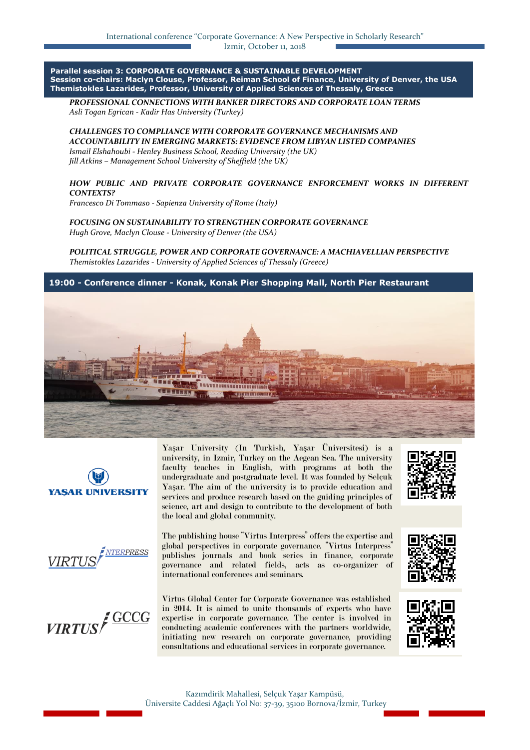**Parallel session 3: CORPORATE GOVERNANCE & SUSTAINABLE DEVELOPMENT Session co-chairs: Maclyn Clouse, Professor, Reiman School of Finance, University of Denver, the USA Themistokles Lazarides, Professor, University of Applied Sciences of Thessaly, Greece**

*PROFESSIONAL CONNECTIONS WITH BANKER DIRECTORS AND CORPORATE LOAN TERMS Asli Togan Egrican - Kadir Has University (Turkey)*

*CHALLENGES TO COMPLIANCE WITH CORPORATE GOVERNANCE MECHANISMS AND ACCOUNTABILITY IN EMERGING MARKETS: EVIDENCE FROM LIBYAN LISTED COMPANIES Ismail Elshahoubi - Henley Business School, Reading University (the UK) Jill Atkins – Management School University of Sheffield (the UK)*

*HOW PUBLIC AND PRIVATE CORPORATE GOVERNANCE ENFORCEMENT WORKS IN DIFFERENT CONTEXTS?*

*Francesco Di Tommaso - Sapienza University of Rome (Italy)*

*FOCUSING ON SUSTAINABILITY TO STRENGTHEN CORPORATE GOVERNANCE Hugh Grove, Maclyn Clouse - University of Denver (the USA)*

*POLITICAL STRUGGLE, POWER AND CORPORATE GOVERNANCE: A MACHIAVELLIAN PERSPECTIVE Themistokles Lazarides - University of Applied Sciences of Thessaly (Greece)*

**19:00 - Conference dinner - Konak, Konak Pier Shopping Mall, North Pier Restaurant**





Yaşar University (In Turkish, Yaşar Üniversitesi) is a university, in Izmir, Turkey on the Aegean Sea. The university faculty teaches in English, with programs at both the undergraduate and postgraduate level. It was founded by Selçuk Yaşar. The aim of the university is to provide education and services and produce research based on the guiding principles of science, art and design to contribute to the development of both the local and global community.







The publishing house "Virtus Interpress" offers the expertise and global perspectives in corporate governance. "Virtus Interpress" publishes journals and book series in finance, corporate governance and related fields, acts as co-organizer of international conferences and seminars.

Virtus Global Center for Corporate Governance was established in 2014. It is aimed to unite thousands of experts who have expertise in corporate governance. The center is involved in conducting academic conferences with the partners worldwide, initiating new research on corporate governance, providing consultations and educational services in corporate governance.